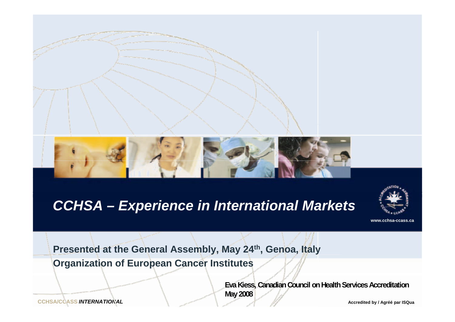

#### *CCHSA – Experience in International Markets*



**www.cchsa-ccass.ca**

**Presented at the General Assembly, May 24th, Genoa, Italy Organization of European Cancer Institutes**

> **Eva Kiess, Canadian Council on Health Services Accreditation May 2008**

**CCHSA/CCASS INTERNATIONAL** 

*INTERNATIONAL* **Accredited by / Agréé par ISQua**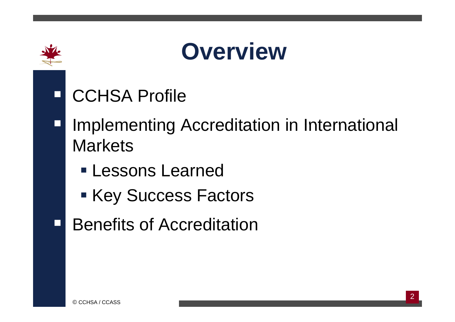

## **Overview**

- $\Box$ CCHSA Profile
- $\Box$ Implementing Accreditation in International **Markets** 
	- Lessons Learned
	- Key Success Factors
- $\Box$ Benefits of Accreditation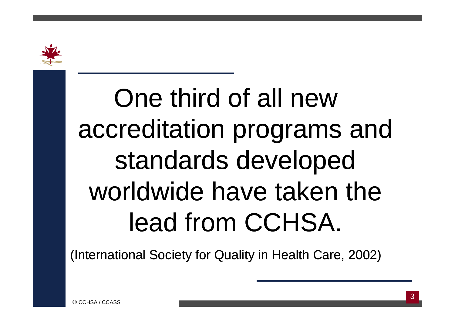

One third of all new accreditation programs and standards developed worldwide have taken the lead from CCHSA.

(International Society for Quality in Health Care, 2002)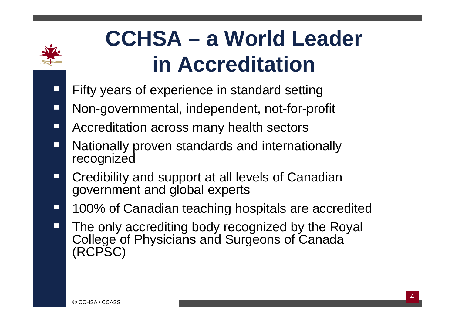

### **CCHSA - a World Leader** in Accreditation

- Fifty years of experience in standard setting  $\Box$
- Non-governmental, independent, not-for-profit  $\Box$
- Accreditation across many health sectors П
- Nationally proven standards and internationally П recognized
- Credibility and support at all levels of Canadian  $\Box$ government and global experts
- 100% of Canadian teaching hospitals are accredited  $\Box$
- The only accrediting body recognized by the Royal  $\Box$ College of Physicians and Surgeons of Canada (RCPSC)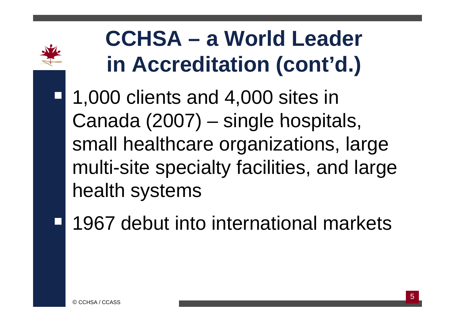

### **CCHSA – a World Leader** in Accreditation (cont'd.)

- 1,000 clients and 4,000 sites in Canada (2007) – single hospitals, small healthcare organizations, large multi-site specialty facilities, and large health systems
- 1967 debut into international markets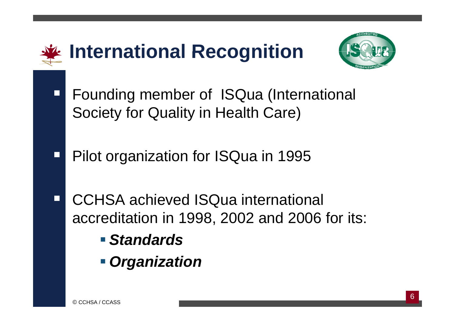

- *Standards*
- *Organization*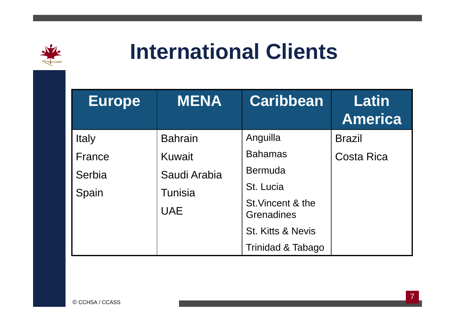

#### **International Clients**

| <b>Europe</b> | <b>MENA</b>                  | <b>Caribbean</b>                       | <b>Latin</b><br><b>America</b> |
|---------------|------------------------------|----------------------------------------|--------------------------------|
| Italy         | <b>Bahrain</b>               | Anguilla                               | <b>Brazil</b>                  |
| France        | <b>Kuwait</b>                | <b>Bahamas</b>                         | <b>Costa Rica</b>              |
| Serbia        | Saudi Arabia                 | <b>Bermuda</b>                         |                                |
| Spain         | <b>Tunisia</b><br><b>UAE</b> | St. Lucia                              |                                |
|               |                              | St. Vincent & the<br><b>Grenadines</b> |                                |
|               |                              | <b>St. Kitts &amp; Nevis</b>           |                                |
|               |                              | Trinidad & Tabago                      |                                |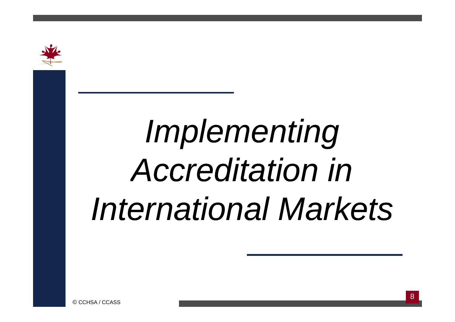

# *I l ti mp lementing A dit ti i Accreditation in I t ti l M k t nternationa Markets*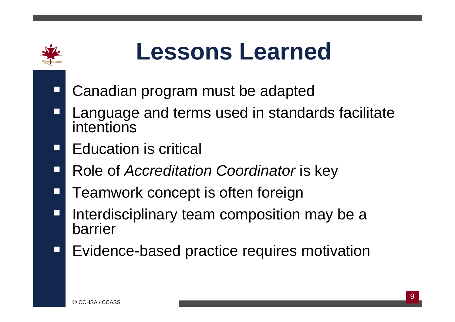

 $\Box$ 

### **Lessons Learned**

- **E** Canadian program must be adapted
- Ξ Language and terms used in standards facilitate intentions
- П Education is critical
- $\Box$ Role of *Accreditation Coordinator* is key
- Ξ Teamwork concept is often foreign
- $\Box$  Interdisciplinary team composition may be a barrier
- $\Box$ Evidence-based practice requires motivation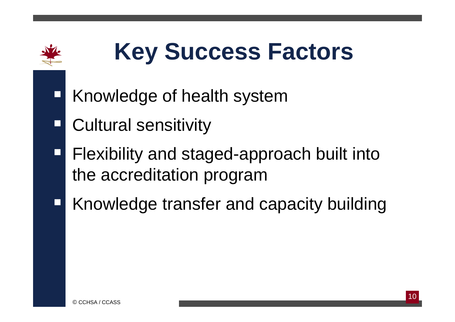

## **Key Success Factors**

- Knowledge of health system
- Ξ Cultural sensitivity
- **Filexibility and staged-approach built into** the accreditation program
- Knowledge trans fer and capacity building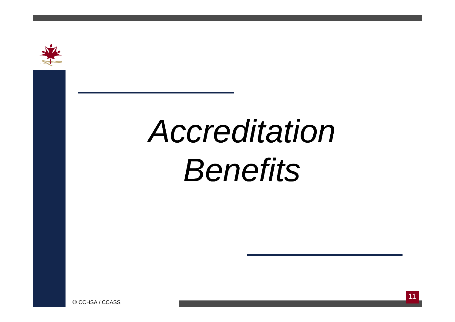

# Accreditation **Benefits**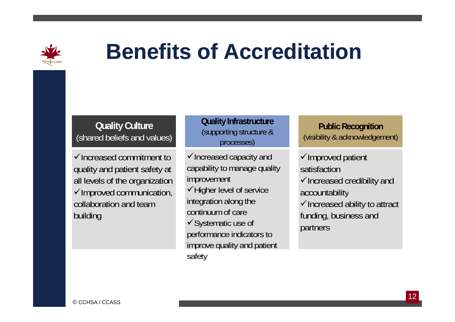

#### **Benefits of Accreditation**

#### **Quality Culture**  (shared beliefs and values)

 $\checkmark$ Increased commitment to quality and patient safety at all levels of the organization √Improved communication, and Migher level of service and accountability collaboration and team building

#### **Quality Infrastructure <sup>P</sup> bli <sup>R</sup> itiQ y** (supporting structure & processes)

 $\checkmark$  Increased capacity and capability to manage quality improvement Higher level of service integration along the continuum of care✔Systematic use of performance indicators to versionality use of the systematic use of the partners<br>improve quality and patient safety

#### **Publi c Recog nition** (visibility & acknowledgement)

 $\checkmark$ Improved patient satisfaction $\checkmark$  Increased credibility and accountability  $\checkmark$  Increased ability to attract funding, business and